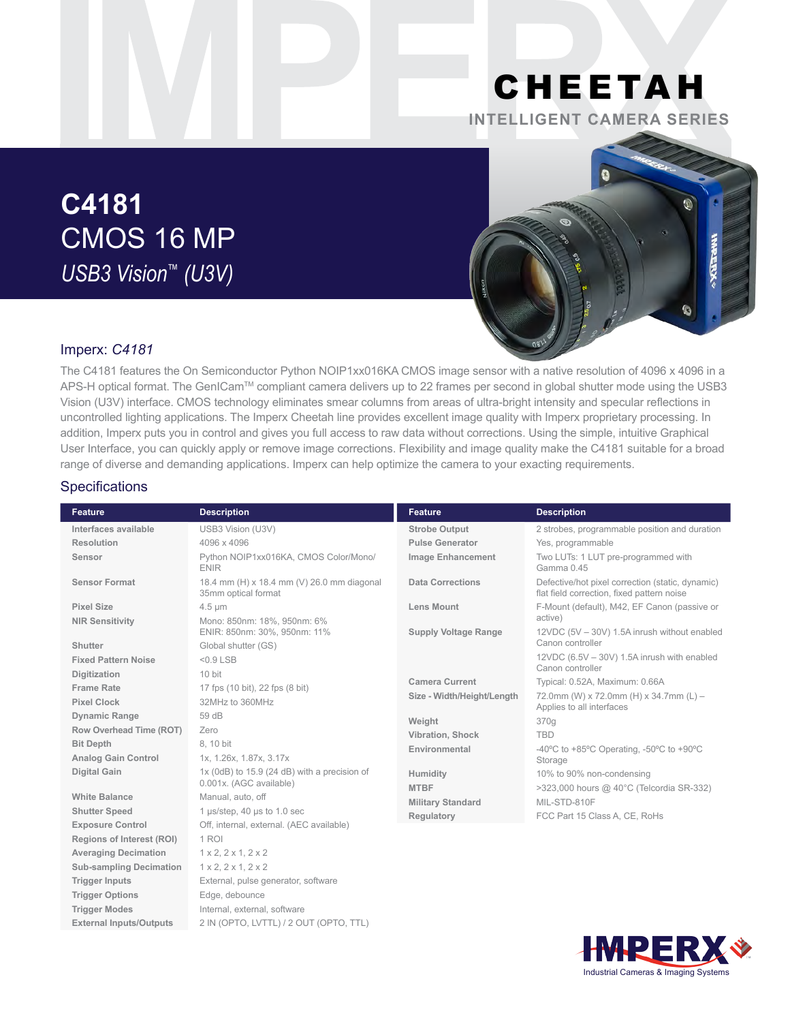# CHEETAH **INTELLIGENT CAMERA SERIES**

# **C4181** CMOS 16 MP *USB3 Vision™ (U3V)*



## Imperx: *C4181*

The C4181 features the On Semiconductor Python NOIP1xx016KA CMOS image sensor with a native resolution of 4096 x 4096 in a APS-H optical format. The GenICam™ compliant camera delivers up to 22 frames per second in global shutter mode using the USB3 Vision (U3V) interface. CMOS technology eliminates smear columns from areas of ultra-bright intensity and specular reflections in uncontrolled lighting applications. The Imperx Cheetah line provides excellent image quality with Imperx proprietary processing. In addition, Imperx puts you in control and gives you full access to raw data without corrections. Using the simple, intuitive Graphical User Interface, you can quickly apply or remove image corrections. Flexibility and image quality make the C4181 suitable for a broad range of diverse and demanding applications. Imperx can help optimize the camera to your exacting requirements.

### **Specifications**

| <b>Feature</b>                 | <b>Description</b>                                                | <b>Feature</b>              | <b>Description</b>                                                                             |
|--------------------------------|-------------------------------------------------------------------|-----------------------------|------------------------------------------------------------------------------------------------|
| Interfaces available           | USB3 Vision (U3V)                                                 | <b>Strobe Output</b>        | 2 strobes, programmable position and duration                                                  |
| Resolution                     | 4096 x 4096                                                       | <b>Pulse Generator</b>      | Yes, programmable                                                                              |
| Sensor                         | Python NOIP1xx016KA, CMOS Color/Mono/<br><b>ENIR</b>              | <b>Image Enhancement</b>    | Two LUTs: 1 LUT pre-programmed with<br>Gamma 0.45                                              |
| <b>Sensor Format</b>           | 18.4 mm (H) x 18.4 mm (V) 26.0 mm diagonal<br>35mm optical format | <b>Data Corrections</b>     | Defective/hot pixel correction (static, dynamic)<br>flat field correction, fixed pattern noise |
| <b>Pixel Size</b>              | $4.5 \mu m$                                                       | <b>Lens Mount</b>           | F-Mount (default), M42, EF Canon (passive or                                                   |
| <b>NIR Sensitivity</b>         | Mono: 850nm: 18%, 950nm: 6%<br>ENIR: 850nm: 30%, 950nm: 11%       | <b>Supply Voltage Range</b> | active)<br>12VDC (5V - 30V) 1.5A inrush without enabled                                        |
| Shutter                        | Global shutter (GS)                                               |                             | Canon controller                                                                               |
| <b>Fixed Pattern Noise</b>     | $< 0.9$ LSB                                                       |                             | 12VDC (6.5V - 30V) 1.5A inrush with enabled<br>Canon controller                                |
| Digitization                   | 10 bit                                                            | <b>Camera Current</b>       | Typical: 0.52A, Maximum: 0.66A                                                                 |
| <b>Frame Rate</b>              | 17 fps (10 bit), 22 fps (8 bit)                                   | Size - Width/Height/Length  | 72.0mm (W) x 72.0mm (H) x 34.7mm (L) -                                                         |
| <b>Pixel Clock</b>             | 32MHz to 360MHz                                                   |                             | Applies to all interfaces                                                                      |
| <b>Dynamic Range</b>           | 59 dB                                                             | Weight                      | 370g                                                                                           |
| Row Overhead Time (ROT)        | Zero                                                              | Vibration, Shock            | <b>TBD</b>                                                                                     |
| <b>Bit Depth</b>               | 8.10 bit                                                          | Environmental               | -40 $\degree$ C to +85 $\degree$ C Operating, -50 $\degree$ C to +90 $\degree$ C               |
| <b>Analog Gain Control</b>     | 1x, 1.26x, 1.87x, 3.17x                                           |                             | Storage                                                                                        |
| <b>Digital Gain</b>            | $1x$ (0dB) to $15.9$ (24 dB) with a precision of                  | Humidity                    | 10% to 90% non-condensing                                                                      |
|                                | 0.001x. (AGC available)                                           | <b>MTBF</b>                 | >323,000 hours @ 40°C (Telcordia SR-332)                                                       |
| <b>White Balance</b>           | Manual, auto, off                                                 | <b>Military Standard</b>    | MIL-STD-810F                                                                                   |
| <b>Shutter Speed</b>           | 1 µs/step, 40 µs to 1.0 sec                                       | Regulatory                  | FCC Part 15 Class A, CE, RoHs                                                                  |
| <b>Exposure Control</b>        | Off, internal, external. (AEC available)                          |                             |                                                                                                |
| Regions of Interest (ROI)      | 1 ROI                                                             |                             |                                                                                                |
| <b>Averaging Decimation</b>    | 1 x 2, 2 x 1, 2 x 2                                               |                             |                                                                                                |
| <b>Sub-sampling Decimation</b> | 1 x 2, 2 x 1, 2 x 2                                               |                             |                                                                                                |
| <b>Trigger Inputs</b>          | External, pulse generator, software                               |                             |                                                                                                |
| <b>Trigger Options</b>         | Edge, debounce                                                    |                             |                                                                                                |
| <b>Trigger Modes</b>           | Internal, external, software                                      |                             |                                                                                                |
| <b>External Inputs/Outputs</b> | 2 IN (OPTO, LVTTL) / 2 OUT (OPTO, TTL)                            |                             |                                                                                                |